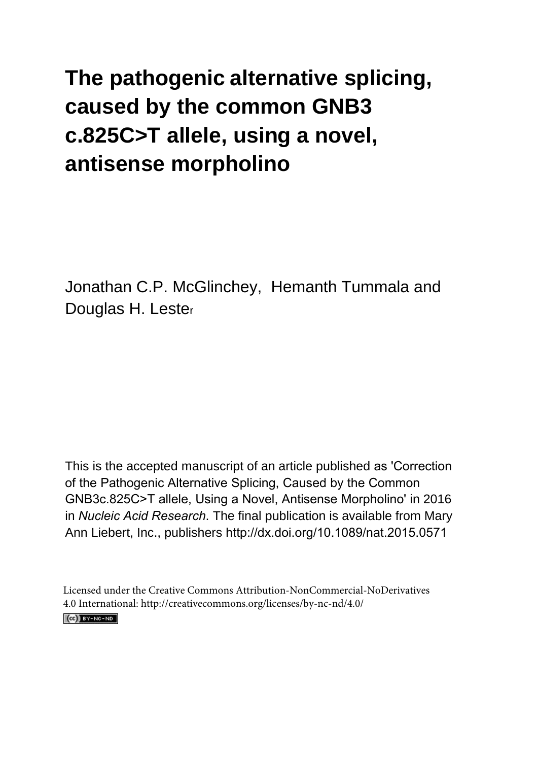# **The pathogenic alternative splicing, caused by the common GNB3 c.825C>T allele, using a novel, antisense morpholino**

Jonathan C.P. McGlinchey, Hemanth Tummala and Douglas H. Leste<sup>r</sup>

This is the accepted manuscript of an article published as 'Correction of the Pathogenic Alternative Splicing, Caused by the Common GNB3c.825C>T allele, Using a Novel, Antisense Morpholino' in 2016 in *Nucleic Acid Research*. The final publication is available from Mary Ann Liebert, Inc., publishers http://dx.doi.org/10.1089/nat.2015.0571

Licensed under the Creative Commons Attribution-NonCommercial-NoDerivatives 4.0 International: http://creativecommons.org/licenses/by-nc-nd/4.0/ $(CC)$  BY-NC-ND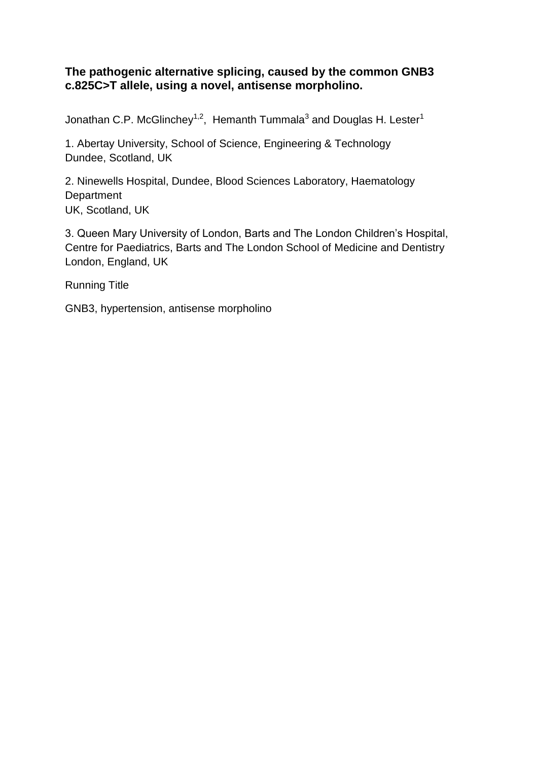# **The pathogenic alternative splicing, caused by the common GNB3 c.825C>T allele, using a novel, antisense morpholino.**

Jonathan C.P. McGlinchey<sup>1,2</sup>, Hemanth Tummala<sup>3</sup> and Douglas H. Lester<sup>1</sup>

1. Abertay University, School of Science, Engineering & Technology Dundee, Scotland, UK

2. Ninewells Hospital, Dundee, Blood Sciences Laboratory, Haematology **Department** UK, Scotland, UK

3. Queen Mary University of London, Barts and The London Children's Hospital, Centre for Paediatrics, Barts and The London School of Medicine and Dentistry London, England, UK

Running Title

GNB3, hypertension, antisense morpholino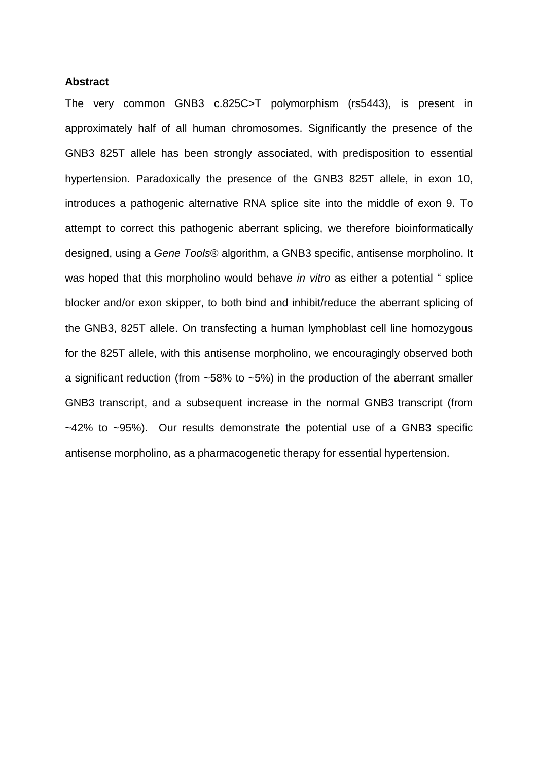#### **Abstract**

The very common GNB3 c.825C>T polymorphism (rs5443), is present in approximately half of all human chromosomes. Significantly the presence of the GNB3 825T allele has been strongly associated, with predisposition to essential hypertension. Paradoxically the presence of the GNB3 825T allele, in exon 10, introduces a pathogenic alternative RNA splice site into the middle of exon 9. To attempt to correct this pathogenic aberrant splicing, we therefore bioinformatically designed, using a *Gene Tools®* algorithm, a GNB3 specific, antisense morpholino. It was hoped that this morpholino would behave *in vitro* as either a potential " splice blocker and/or exon skipper, to both bind and inhibit/reduce the aberrant splicing of the GNB3, 825T allele. On transfecting a human lymphoblast cell line homozygous for the 825T allele, with this antisense morpholino, we encouragingly observed both a significant reduction (from  $~58\%$  to  $~5\%$ ) in the production of the aberrant smaller GNB3 transcript, and a subsequent increase in the normal GNB3 transcript (from  $-42\%$  to  $-95\%$ ). Our results demonstrate the potential use of a GNB3 specific antisense morpholino, as a pharmacogenetic therapy for essential hypertension.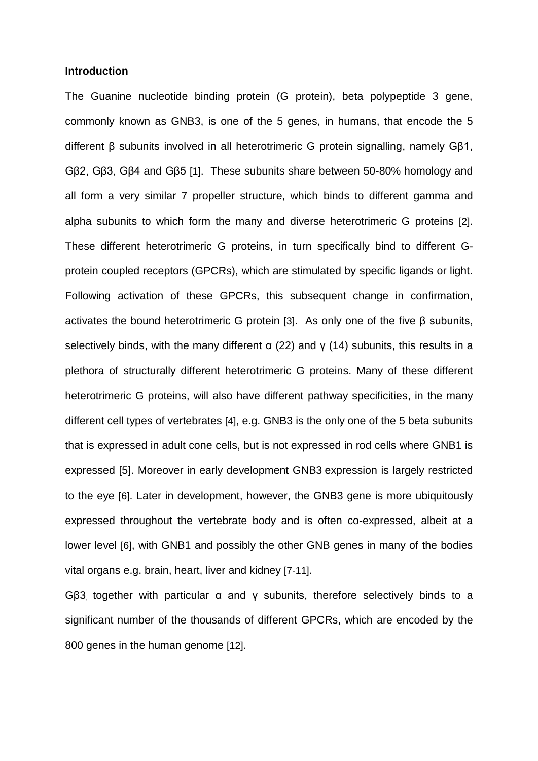#### **Introduction**

The Guanine nucleotide binding protein (G protein), beta polypeptide 3 gene, commonly known as GNB3, is one of the 5 genes, in humans, that encode the 5 different β subunits involved in all heterotrimeric G protein signalling, namely Gβ1, Gβ2, Gβ3, Gβ4 and Gβ5 [1]. These subunits share between 50-80% homology and all form a very similar 7 propeller structure, which binds to different gamma and alpha subunits to which form the many and diverse heterotrimeric G proteins [2]. These different heterotrimeric G proteins, in turn specifically bind to different Gprotein coupled receptors (GPCRs), which are stimulated by specific ligands or light. Following activation of these GPCRs, this subsequent change in confirmation, activates the bound heterotrimeric G protein [3]. As only one of the five β subunits, selectively binds, with the many different  $\alpha$  (22) and γ (14) subunits, this results in a plethora of structurally different heterotrimeric G proteins. Many of these different heterotrimeric G proteins, will also have different pathway specificities, in the many different cell types of vertebrates [4], e.g. GNB3 is the only one of the 5 beta subunits that is expressed in adult cone cells, but is not expressed in rod cells where GNB1 is expressed [5]. Moreover in early development GNB3 expression is largely restricted to the eye [6]. Later in development, however, the GNB3 gene is more ubiquitously expressed throughout the vertebrate body and is often co-expressed, albeit at a lower level [6], with GNB1 and possibly the other GNB genes in many of the bodies vital organs e.g. brain, heart, liver and kidney [7-11].

Gβ3, together with particular α and γ subunits, therefore selectively binds to a significant number of the thousands of different GPCRs, which are encoded by the 800 genes in the human genome [12].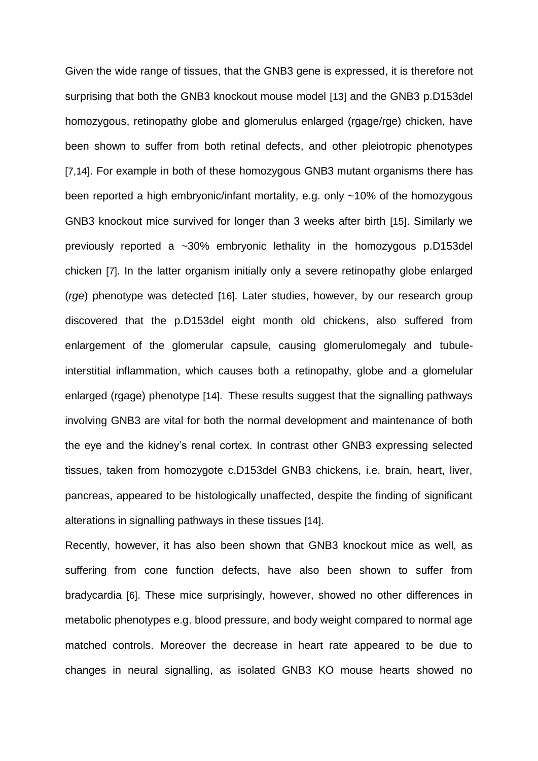Given the wide range of tissues, that the GNB3 gene is expressed, it is therefore not surprising that both the GNB3 knockout mouse model [13] and the GNB3 p.D153del homozygous, retinopathy globe and glomerulus enlarged (rgage/rge) chicken, have been shown to suffer from both retinal defects, and other pleiotropic phenotypes [7,14]. For example in both of these homozygous GNB3 mutant organisms there has been reported a high embryonic/infant mortality, e.g. only ~10% of the homozygous GNB3 knockout mice survived for longer than 3 weeks after birth [15]. Similarly we previously reported a ~30% embryonic lethality in the homozygous p.D153del chicken [7]. In the latter organism initially only a severe retinopathy globe enlarged (*rge*) phenotype was detected [16]. Later studies, however, by our research group discovered that the p.D153del eight month old chickens, also suffered from enlargement of the glomerular capsule, causing glomerulomegaly and tubuleinterstitial inflammation, which causes both a retinopathy, globe and a glomelular enlarged (rgage) phenotype [14]. These results suggest that the signalling pathways involving GNB3 are vital for both the normal development and maintenance of both the eye and the kidney's renal cortex. In contrast other GNB3 expressing selected tissues, taken from homozygote c.D153del GNB3 chickens, i.e. brain, heart, liver, pancreas, appeared to be histologically unaffected, despite the finding of significant alterations in signalling pathways in these tissues [14].

Recently, however, it has also been shown that GNB3 knockout mice as well, as suffering from cone function defects, have also been shown to suffer from bradycardia [6]. These mice surprisingly, however, showed no other differences in metabolic phenotypes e.g. blood pressure, and body weight compared to normal age matched controls. Moreover the decrease in heart rate appeared to be due to changes in neural signalling, as isolated GNB3 KO mouse hearts showed no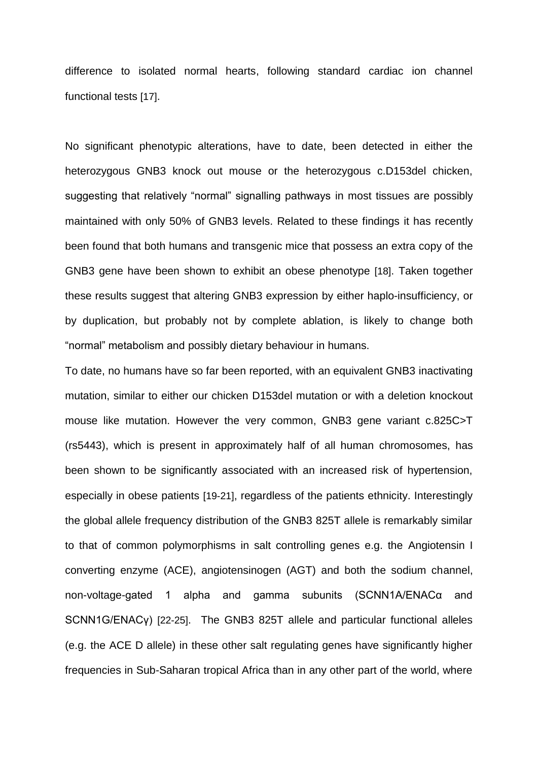difference to isolated normal hearts, following standard cardiac ion channel functional tests [17].

No significant phenotypic alterations, have to date, been detected in either the heterozygous GNB3 knock out mouse or the heterozygous c.D153del chicken, suggesting that relatively "normal" signalling pathways in most tissues are possibly maintained with only 50% of GNB3 levels. Related to these findings it has recently been found that both humans and transgenic mice that possess an extra copy of the GNB3 gene have been shown to exhibit an obese phenotype [18]. Taken together these results suggest that altering GNB3 expression by either haplo-insufficiency, or by duplication, but probably not by complete ablation, is likely to change both "normal" metabolism and possibly dietary behaviour in humans.

To date, no humans have so far been reported, with an equivalent GNB3 inactivating mutation, similar to either our chicken D153del mutation or with a deletion knockout mouse like mutation. However the very common, GNB3 gene variant c.825C>T (rs5443), which is present in approximately half of all human chromosomes, has been shown to be significantly associated with an increased risk of hypertension, especially in obese patients [19-21], regardless of the patients ethnicity. Interestingly the global allele frequency distribution of the GNB3 825T allele is remarkably similar to that of common polymorphisms in salt controlling genes e.g. the Angiotensin I converting enzyme (ACE), angiotensinogen (AGT) and both the sodium channel, non-voltage-gated 1 alpha and gamma subunits (SCNN1A/ENACα and SCNN1G/ENACγ) [22-25]. The GNB3 825T allele and particular functional alleles (e.g. the ACE D allele) in these other salt regulating genes have significantly higher frequencies in Sub-Saharan tropical Africa than in any other part of the world, where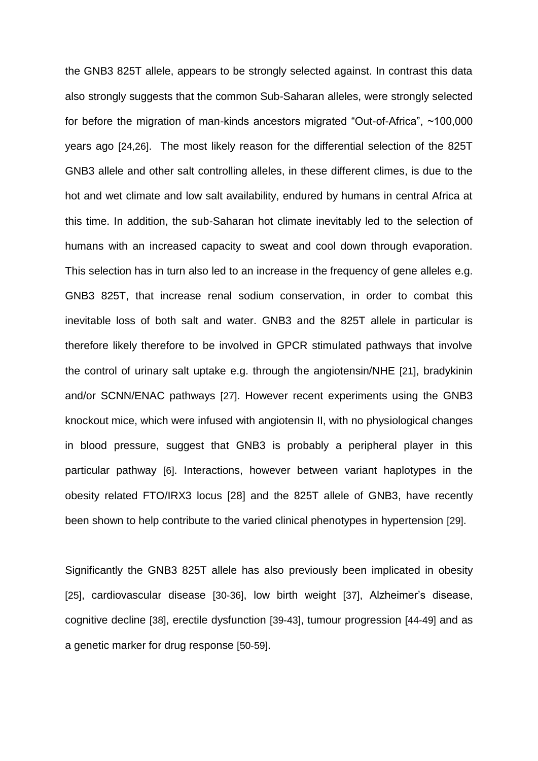the GNB3 825T allele, appears to be strongly selected against. In contrast this data also strongly suggests that the common Sub-Saharan alleles, were strongly selected for before the migration of man-kinds ancestors migrated "Out-of-Africa", ~100,000 years ago [24,26]. The most likely reason for the differential selection of the 825T GNB3 allele and other salt controlling alleles, in these different climes, is due to the hot and wet climate and low salt availability, endured by humans in central Africa at this time. In addition, the sub-Saharan hot climate inevitably led to the selection of humans with an increased capacity to sweat and cool down through evaporation. This selection has in turn also led to an increase in the frequency of gene alleles e.g. GNB3 825T, that increase renal sodium conservation, in order to combat this inevitable loss of both salt and water. GNB3 and the 825T allele in particular is therefore likely therefore to be involved in GPCR stimulated pathways that involve the control of urinary salt uptake e.g. through the angiotensin/NHE [21], bradykinin and/or SCNN/ENAC pathways [27]. However recent experiments using the GNB3 knockout mice, which were infused with angiotensin II, with no physiological changes in blood pressure, suggest that GNB3 is probably a peripheral player in this particular pathway [6]. Interactions, however between variant haplotypes in the obesity related FTO/IRX3 locus [28] and the 825T allele of GNB3, have recently been shown to help contribute to the varied clinical phenotypes in hypertension [29].

Significantly the GNB3 825T allele has also previously been implicated in obesity [25], cardiovascular disease [30-36], low birth weight [37], Alzheimer's disease, cognitive decline [38], erectile dysfunction [39-43], tumour progression [44-49] and as a genetic marker for drug response [50-59].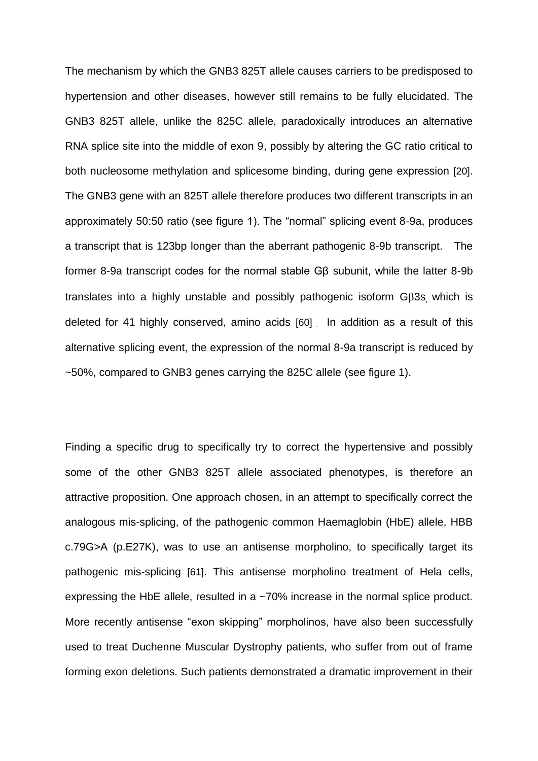The mechanism by which the GNB3 825T allele causes carriers to be predisposed to hypertension and other diseases, however still remains to be fully elucidated. The GNB3 825T allele, unlike the 825C allele, paradoxically introduces an alternative RNA splice site into the middle of exon 9, possibly by altering the GC ratio critical to both nucleosome methylation and splicesome binding, during gene expression [20]. The GNB3 gene with an 825T allele therefore produces two different transcripts in an approximately 50:50 ratio (see figure 1). The "normal" splicing event 8-9a, produces a transcript that is 123bp longer than the aberrant pathogenic 8-9b transcript. The former 8-9a transcript codes for the normal stable Gβ subunit, while the latter 8-9b translates into a highly unstable and possibly pathogenic isoform G3s, which is deleted for 41 highly conserved, amino acids [60] . In addition as a result of this alternative splicing event, the expression of the normal 8-9a transcript is reduced by ~50%, compared to GNB3 genes carrying the 825C allele (see figure 1).

Finding a specific drug to specifically try to correct the hypertensive and possibly some of the other GNB3 825T allele associated phenotypes, is therefore an attractive proposition. One approach chosen, in an attempt to specifically correct the analogous mis-splicing, of the pathogenic common Haemaglobin (HbE) allele, HBB c.79G>A (p.E27K), was to use an antisense morpholino, to specifically target its pathogenic mis-splicing [61]. This antisense morpholino treatment of Hela cells, expressing the HbE allele, resulted in a ~70% increase in the normal splice product. More recently antisense "exon skipping" morpholinos, have also been successfully used to treat Duchenne Muscular Dystrophy patients, who suffer from out of frame forming exon deletions. Such patients demonstrated a dramatic improvement in their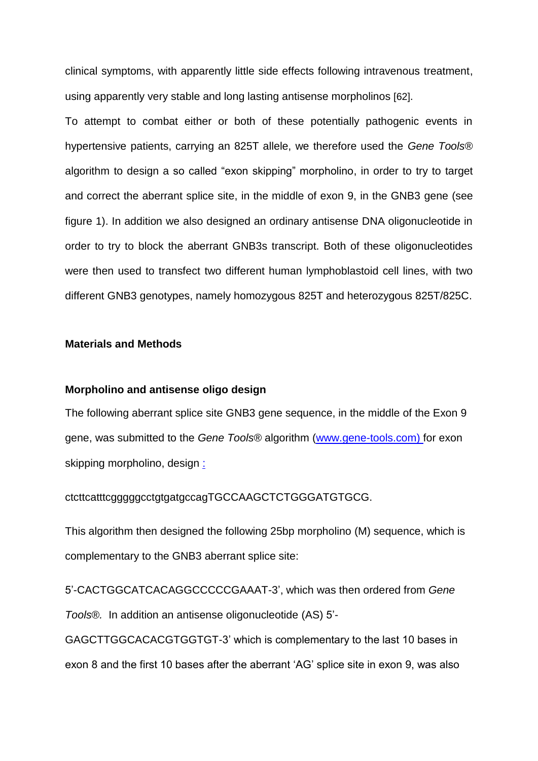clinical symptoms, with apparently little side effects following intravenous treatment, using apparently very stable and long lasting antisense morpholinos [62].

To attempt to combat either or both of these potentially pathogenic events in hypertensive patients, carrying an 825T allele, we therefore used the *Gene Tools®*  algorithm to design a so called "exon skipping" morpholino, in order to try to target and correct the aberrant splice site, in the middle of exon 9, in the GNB3 gene (see figure 1). In addition we also designed an ordinary antisense DNA oligonucleotide in order to try to block the aberrant GNB3s transcript. Both of these oligonucleotides were then used to transfect two different human lymphoblastoid cell lines, with two different GNB3 genotypes, namely homozygous 825T and heterozygous 825T/825C.

#### **Materials and Methods**

#### **Morpholino and antisense oligo design**

The following aberrant splice site GNB3 gene sequence, in the middle of the Exon 9 gene, was submitted to the *Gene Tools®* algorithm [\(www.gene-tools.com\)](http://www.gene-tools.com/) for exon skipping morpholino, design :

ctcttcatttcgggggcctgtgatgccagTGCCAAGCTCTGGGATGTGCG.

This algorithm then designed the following 25bp morpholino (M) sequence, which is complementary to the GNB3 aberrant splice site:

5'-CACTGGCATCACAGGCCCCCGAAAT-3', which was then ordered from *Gene Tools®.* In addition an antisense oligonucleotide (AS) 5'-

GAGCTTGGCACACGTGGTGT-3' which is complementary to the last 10 bases in exon 8 and the first 10 bases after the aberrant 'AG' splice site in exon 9, was also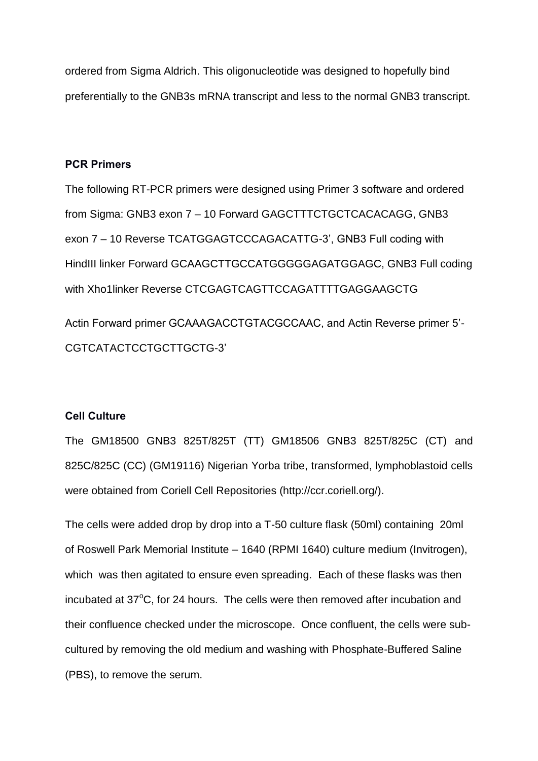ordered from Sigma Aldrich. This oligonucleotide was designed to hopefully bind preferentially to the GNB3s mRNA transcript and less to the normal GNB3 transcript.

# **PCR Primers**

The following RT-PCR primers were designed using Primer 3 software and ordered from Sigma: GNB3 exon 7 – 10 Forward GAGCTTTCTGCTCACACAGG, GNB3 exon 7 – 10 Reverse TCATGGAGTCCCAGACATTG-3', GNB3 Full coding with HindIII linker Forward GCAAGCTTGCCATGGGGGAGATGGAGC, GNB3 Full coding with Xho1linker Reverse CTCGAGTCAGTTCCAGATTTTGAGGAAGCTG

Actin Forward primer GCAAAGACCTGTACGCCAAC, and Actin Reverse primer 5'- CGTCATACTCCTGCTTGCTG-3'

# **Cell Culture**

The GM18500 GNB3 825T/825T (TT) GM18506 GNB3 825T/825C (CT) and 825C/825C (CC) (GM19116) Nigerian Yorba tribe, transformed, lymphoblastoid cells were obtained from Coriell Cell Repositories (http://ccr.coriell.org/).

The cells were added drop by drop into a T-50 culture flask (50ml) containing 20ml of Roswell Park Memorial Institute – 1640 (RPMI 1640) culture medium (Invitrogen), which was then agitated to ensure even spreading. Each of these flasks was then incubated at  $37^{\circ}$ C, for 24 hours. The cells were then removed after incubation and their confluence checked under the microscope. Once confluent, the cells were subcultured by removing the old medium and washing with Phosphate-Buffered Saline (PBS), to remove the serum.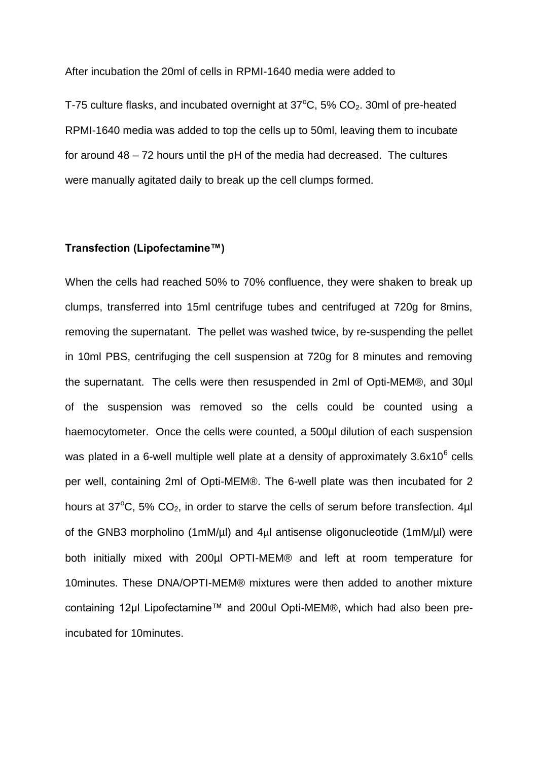After incubation the 20ml of cells in RPMI-1640 media were added to

T-75 culture flasks, and incubated overnight at  $37^{\circ}$ C,  $5\%$  CO<sub>2</sub>. 30ml of pre-heated RPMI-1640 media was added to top the cells up to 50ml, leaving them to incubate for around 48 – 72 hours until the pH of the media had decreased. The cultures were manually agitated daily to break up the cell clumps formed.

## **Transfection (Lipofectamine™)**

When the cells had reached 50% to 70% confluence, they were shaken to break up clumps, transferred into 15ml centrifuge tubes and centrifuged at 720g for 8mins, removing the supernatant. The pellet was washed twice, by re-suspending the pellet in 10ml PBS, centrifuging the cell suspension at 720g for 8 minutes and removing the supernatant. The cells were then resuspended in 2ml of Opti-MEM®, and 30µl of the suspension was removed so the cells could be counted using a haemocytometer. Once the cells were counted, a 500µl dilution of each suspension was plated in a 6-well multiple well plate at a density of approximately 3.6x10 $^6$  cells per well, containing 2ml of Opti-MEM®. The 6-well plate was then incubated for 2 hours at 37 $\mathrm{^{\circ}C}$ , 5%  $\mathrm{CO}_{2}$ , in order to starve the cells of serum before transfection. 4µl of the GNB3 morpholino (1mM/ul) and 4ul antisense oligonucleotide (1mM/ul) were both initially mixed with 200µl OPTI-MEM® and left at room temperature for 10minutes. These DNA/OPTI-MEM® mixtures were then added to another mixture containing 12µl Lipofectamine™ and 200ul Opti-MEM®, which had also been preincubated for 10minutes.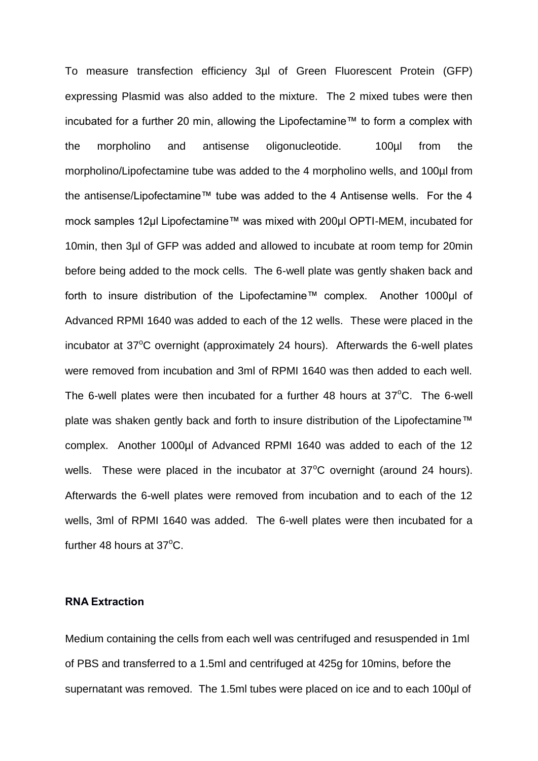To measure transfection efficiency 3µl of Green Fluorescent Protein (GFP) expressing Plasmid was also added to the mixture. The 2 mixed tubes were then incubated for a further 20 min, allowing the Lipofectamine™ to form a complex with the morpholino and antisense oligonucleotide. 100µl from the morpholino/Lipofectamine tube was added to the 4 morpholino wells, and 100µl from the antisense/Lipofectamine™ tube was added to the 4 Antisense wells. For the 4 mock samples 12µl Lipofectamine™ was mixed with 200µl OPTI-MEM, incubated for 10min, then 3µl of GFP was added and allowed to incubate at room temp for 20min before being added to the mock cells. The 6-well plate was gently shaken back and forth to insure distribution of the Lipofectamine™ complex. Another 1000µl of Advanced RPMI 1640 was added to each of the 12 wells. These were placed in the incubator at  $37^{\circ}$ C overnight (approximately 24 hours). Afterwards the 6-well plates were removed from incubation and 3ml of RPMI 1640 was then added to each well. The 6-well plates were then incubated for a further 48 hours at  $37^{\circ}$ C. The 6-well plate was shaken gently back and forth to insure distribution of the Lipofectamine™ complex. Another 1000µl of Advanced RPMI 1640 was added to each of the 12 wells. These were placed in the incubator at  $37^{\circ}$ C overnight (around 24 hours). Afterwards the 6-well plates were removed from incubation and to each of the 12 wells, 3ml of RPMI 1640 was added. The 6-well plates were then incubated for a further 48 hours at  $37^{\circ}$ C.

## **RNA Extraction**

Medium containing the cells from each well was centrifuged and resuspended in 1ml of PBS and transferred to a 1.5ml and centrifuged at 425g for 10mins, before the supernatant was removed. The 1.5ml tubes were placed on ice and to each 100µl of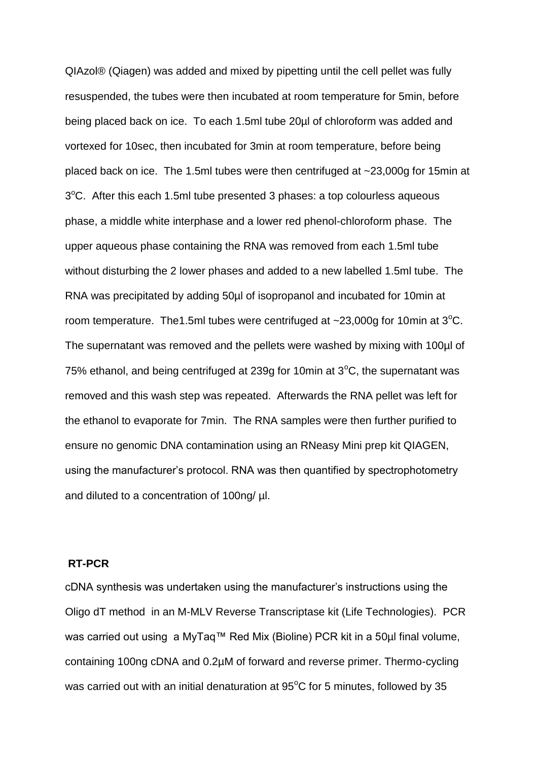QIAzol® (Qiagen) was added and mixed by pipetting until the cell pellet was fully resuspended, the tubes were then incubated at room temperature for 5min, before being placed back on ice. To each 1.5ml tube 20µl of chloroform was added and vortexed for 10sec, then incubated for 3min at room temperature, before being placed back on ice. The 1.5ml tubes were then centrifuged at ~23,000g for 15min at 3°C. After this each 1.5ml tube presented 3 phases: a top colourless aqueous phase, a middle white interphase and a lower red phenol-chloroform phase. The upper aqueous phase containing the RNA was removed from each 1.5ml tube without disturbing the 2 lower phases and added to a new labelled 1.5ml tube. The RNA was precipitated by adding 50µl of isopropanol and incubated for 10min at room temperature. The 1.5ml tubes were centrifuged at  $\sim$ 23,000g for 10min at 3<sup>o</sup>C. The supernatant was removed and the pellets were washed by mixing with 100µl of 75% ethanol, and being centrifuged at 239g for 10min at  $3^{\circ}$ C, the supernatant was removed and this wash step was repeated. Afterwards the RNA pellet was left for the ethanol to evaporate for 7min. The RNA samples were then further purified to ensure no genomic DNA contamination using an RNeasy Mini prep kit QIAGEN, using the manufacturer's protocol. RNA was then quantified by spectrophotometry and diluted to a concentration of 100ng/ µl.

#### **RT-PCR**

cDNA synthesis was undertaken using the manufacturer's instructions using the Oligo dT method in an M-MLV Reverse Transcriptase kit (Life Technologies). PCR was carried out using a MyTaq™ Red Mix (Bioline) PCR kit in a 50µl final volume, containing 100ng cDNA and 0.2µM of forward and reverse primer. Thermo-cycling was carried out with an initial denaturation at  $95^{\circ}$ C for 5 minutes, followed by 35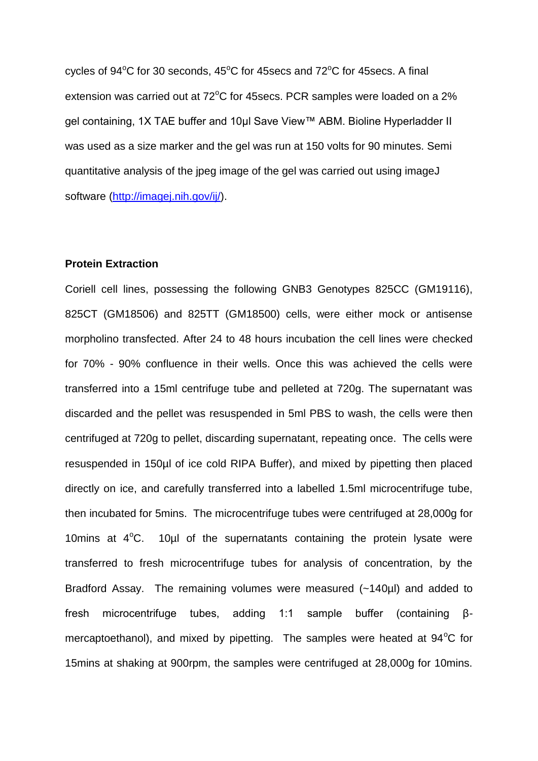cycles of  $94^{\circ}$ C for 30 seconds,  $45^{\circ}$ C for  $45$ secs and  $72^{\circ}$ C for  $45$ secs. A final extension was carried out at  $72^{\circ}$ C for 45 secs. PCR samples were loaded on a  $2\%$ gel containing, 1X TAE buffer and 10µl Save View™ ABM. Bioline Hyperladder II was used as a size marker and the gel was run at 150 volts for 90 minutes. Semi quantitative analysis of the jpeg image of the gel was carried out using imageJ software [\(http://imagej.nih.gov/ij/\)](http://imagej.nih.gov/ij/).

#### **Protein Extraction**

Coriell cell lines, possessing the following GNB3 Genotypes 825CC (GM19116), 825CT (GM18506) and 825TT (GM18500) cells, were either mock or antisense morpholino transfected. After 24 to 48 hours incubation the cell lines were checked for 70% - 90% confluence in their wells. Once this was achieved the cells were transferred into a 15ml centrifuge tube and pelleted at 720g. The supernatant was discarded and the pellet was resuspended in 5ml PBS to wash, the cells were then centrifuged at 720g to pellet, discarding supernatant, repeating once. The cells were resuspended in 150µl of ice cold RIPA Buffer), and mixed by pipetting then placed directly on ice, and carefully transferred into a labelled 1.5ml microcentrifuge tube, then incubated for 5mins. The microcentrifuge tubes were centrifuged at 28,000g for 10mins at  $4^{\circ}$ C. 10 $\mu$ I of the supernatants containing the protein lysate were transferred to fresh microcentrifuge tubes for analysis of concentration, by the Bradford Assay. The remaining volumes were measured (~140µl) and added to fresh microcentrifuge tubes, adding 1:1 sample buffer (containing βmercaptoethanol), and mixed by pipetting. The samples were heated at  $94^{\circ}$ C for 15mins at shaking at 900rpm, the samples were centrifuged at 28,000g for 10mins.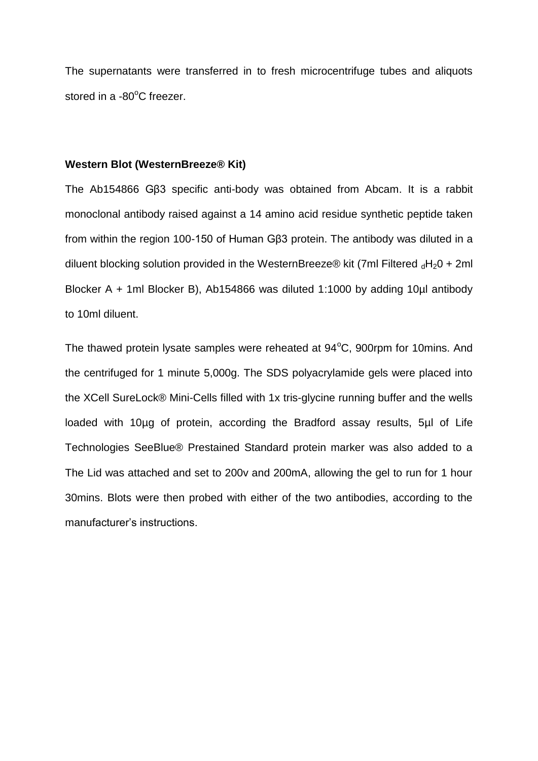The supernatants were transferred in to fresh microcentrifuge tubes and aliquots stored in a  $-80^{\circ}$ C freezer.

#### **Western Blot (WesternBreeze® Kit)**

The Ab154866 Gβ3 specific anti-body was obtained from Abcam. It is a rabbit monoclonal antibody raised against a 14 amino acid residue synthetic peptide taken from within the region 100-150 of Human Gβ3 protein. The antibody was diluted in a diluent blocking solution provided in the WesternBreeze® kit (7ml Filtered  $_dH_2O + 2ml$ Blocker A + 1ml Blocker B), Ab154866 was diluted 1:1000 by adding 10µl antibody to 10ml diluent.

The thawed protein lysate samples were reheated at  $94^{\circ}$ C, 900rpm for 10mins. And the centrifuged for 1 minute 5,000g. The SDS polyacrylamide gels were placed into the XCell SureLock® Mini-Cells filled with 1x tris-glycine running buffer and the wells loaded with 10µg of protein, according the Bradford assay results, 5µl of Life Technologies SeeBlue® Prestained Standard protein marker was also added to a The Lid was attached and set to 200v and 200mA, allowing the gel to run for 1 hour 30mins. Blots were then probed with either of the two antibodies, according to the manufacturer's instructions.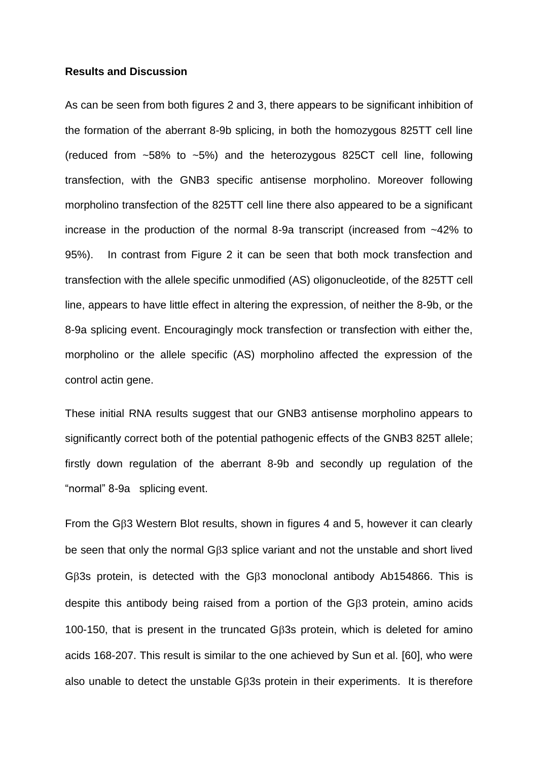#### **Results and Discussion**

As can be seen from both figures 2 and 3, there appears to be significant inhibition of the formation of the aberrant 8-9b splicing, in both the homozygous 825TT cell line (reduced from  $\sim$  58% to  $\sim$  5%) and the heterozygous 825CT cell line, following transfection, with the GNB3 specific antisense morpholino. Moreover following morpholino transfection of the 825TT cell line there also appeared to be a significant increase in the production of the normal 8-9a transcript (increased from ~42% to 95%). In contrast from Figure 2 it can be seen that both mock transfection and transfection with the allele specific unmodified (AS) oligonucleotide, of the 825TT cell line, appears to have little effect in altering the expression, of neither the 8-9b, or the 8-9a splicing event. Encouragingly mock transfection or transfection with either the, morpholino or the allele specific (AS) morpholino affected the expression of the control actin gene.

These initial RNA results suggest that our GNB3 antisense morpholino appears to significantly correct both of the potential pathogenic effects of the GNB3 825T allele; firstly down regulation of the aberrant 8-9b and secondly up regulation of the "normal" 8-9a splicing event.

From the G $\beta$ 3 Western Blot results, shown in figures 4 and 5, however it can clearly be seen that only the normal G3 splice variant and not the unstable and short lived GB3s protein, is detected with the GB3 monoclonal antibody Ab154866. This is despite this antibody being raised from a portion of the  $G\beta3$  protein, amino acids 100-150, that is present in the truncated G3s protein, which is deleted for amino acids 168-207. This result is similar to the one achieved by Sun et al. [60], who were also unable to detect the unstable G3s protein in their experiments. It is therefore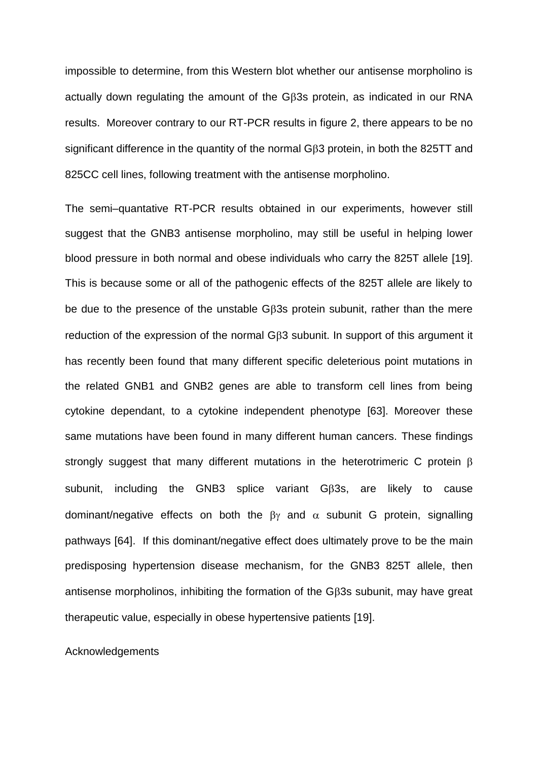impossible to determine, from this Western blot whether our antisense morpholino is actually down regulating the amount of the G $\beta$ 3s protein, as indicated in our RNA results. Moreover contrary to our RT-PCR results in figure 2, there appears to be no significant difference in the quantity of the normal GB3 protein, in both the 825TT and 825CC cell lines, following treatment with the antisense morpholino.

The semi–quantative RT-PCR results obtained in our experiments, however still suggest that the GNB3 antisense morpholino, may still be useful in helping lower blood pressure in both normal and obese individuals who carry the 825T allele [19]. This is because some or all of the pathogenic effects of the 825T allele are likely to be due to the presence of the unstable G $\beta$ 3s protein subunit, rather than the mere reduction of the expression of the normal  $G\beta3$  subunit. In support of this argument it has recently been found that many different specific deleterious point mutations in the related GNB1 and GNB2 genes are able to transform cell lines from being cytokine dependant, to a cytokine independent phenotype [63]. Moreover these same mutations have been found in many different human cancers. These findings strongly suggest that many different mutations in the heterotrimeric C protein  $\beta$ subunit, including the GNB3 splice variant  $G\beta$ 3s, are likely to cause dominant/negative effects on both the  $\beta\gamma$  and  $\alpha$  subunit G protein, signalling pathways [64]. If this dominant/negative effect does ultimately prove to be the main predisposing hypertension disease mechanism, for the GNB3 825T allele, then antisense morpholinos, inhibiting the formation of the G $\beta$ 3s subunit, may have great therapeutic value, especially in obese hypertensive patients [19].

#### Acknowledgements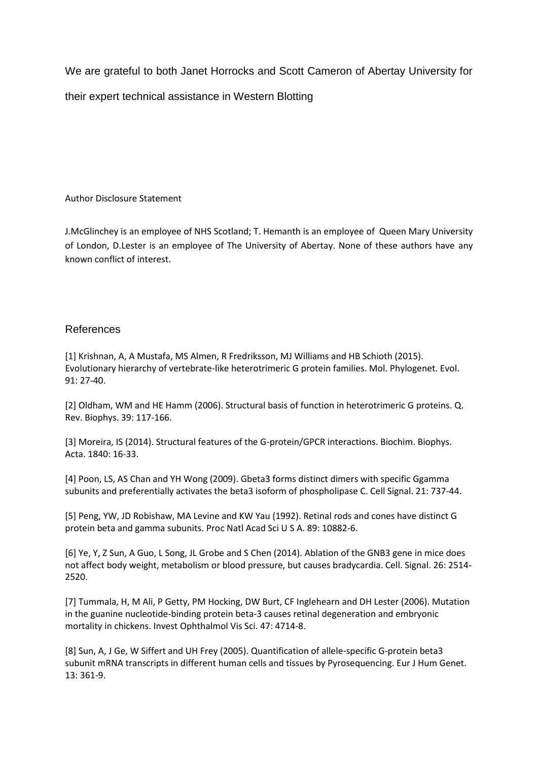We are grateful to both Janet Horrocks and Scott Cameron of Abertay University for

their expert technical assistance in Western Blotting

Author Disclosure Statement

J.McGlinchey is an employee of NHS Scotland; T. Hemanth is an employee of Queen Mary University of London, D.Lester is an employee of The University of Abertay. None of these authors have any known conflict of interest.

## References

[1] Krishnan, A, A Mustafa, MS Almen, R Fredriksson, MJ Williams and HB Schioth (2015). Evolutionary hierarchy of vertebrate-like heterotrimeric G protein families. Mol. Phylogenet. Evol. 91: 27-40.

[2] Oldham, WM and HE Hamm (2006). Structural basis of function in heterotrimeric G proteins. Q. Rev. Biophys. 39: 117-166.

[3] Moreira, IS (2014). Structural features of the G-protein/GPCR interactions. Biochim. Biophys. Acta. 1840: 16-33.

[4] Poon, LS, AS Chan and YH Wong (2009). Gbeta3 forms distinct dimers with specific Ggamma subunits and preferentially activates the beta3 isoform of phospholipase C. Cell Signal. 21: 737-44.

[5] Peng, YW, JD Robishaw, MA Levine and KW Yau (1992). Retinal rods and cones have distinct G protein beta and gamma subunits. Proc Natl Acad Sci U S A. 89: 10882-6.

[6] Ye, Y, Z Sun, A Guo, L Song, JL Grobe and S Chen (2014). Ablation of the GNB3 gene in mice does not affect body weight, metabolism or blood pressure, but causes bradycardia. Cell. Signal. 26: 2514- 2520.

[7] Tummala, H, M Ali, P Getty, PM Hocking, DW Burt, CF Inglehearn and DH Lester (2006). Mutation in the guanine nucleotide-binding protein beta-3 causes retinal degeneration and embryonic mortality in chickens. Invest Ophthalmol Vis Sci. 47: 4714-8.

[8] Sun, A, J Ge, W Siffert and UH Frey (2005). Quantification of allele-specific G-protein beta3 subunit mRNA transcripts in different human cells and tissues by Pyrosequencing. Eur J Hum Genet. 13: 361-9.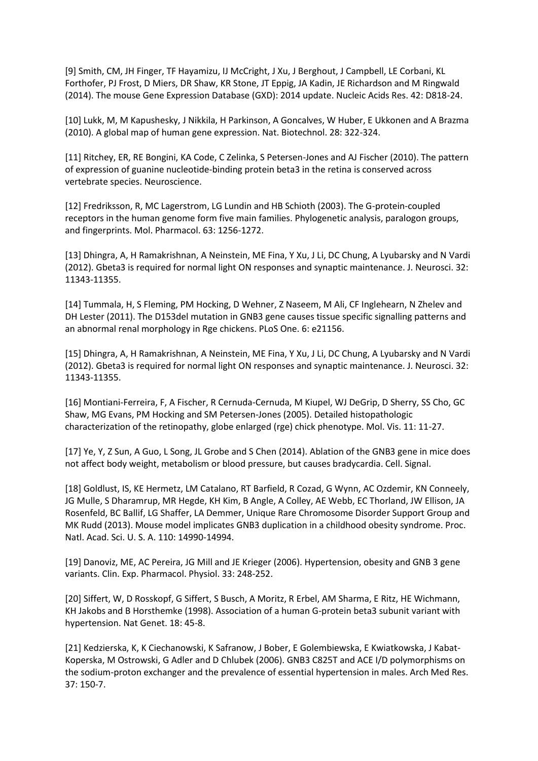[9] Smith, CM, JH Finger, TF Hayamizu, IJ McCright, J Xu, J Berghout, J Campbell, LE Corbani, KL Forthofer, PJ Frost, D Miers, DR Shaw, KR Stone, JT Eppig, JA Kadin, JE Richardson and M Ringwald (2014). The mouse Gene Expression Database (GXD): 2014 update. Nucleic Acids Res. 42: D818-24.

[10] Lukk, M, M Kapushesky, J Nikkila, H Parkinson, A Goncalves, W Huber, E Ukkonen and A Brazma (2010). A global map of human gene expression. Nat. Biotechnol. 28: 322-324.

[11] Ritchey, ER, RE Bongini, KA Code, C Zelinka, S Petersen-Jones and AJ Fischer (2010). The pattern of expression of guanine nucleotide-binding protein beta3 in the retina is conserved across vertebrate species. Neuroscience.

[12] Fredriksson, R, MC Lagerstrom, LG Lundin and HB Schioth (2003). The G-protein-coupled receptors in the human genome form five main families. Phylogenetic analysis, paralogon groups, and fingerprints. Mol. Pharmacol. 63: 1256-1272.

[13] Dhingra, A, H Ramakrishnan, A Neinstein, ME Fina, Y Xu, J Li, DC Chung, A Lyubarsky and N Vardi (2012). Gbeta3 is required for normal light ON responses and synaptic maintenance. J. Neurosci. 32: 11343-11355.

[14] Tummala, H, S Fleming, PM Hocking, D Wehner, Z Naseem, M Ali, CF Inglehearn, N Zhelev and DH Lester (2011). The D153del mutation in GNB3 gene causes tissue specific signalling patterns and an abnormal renal morphology in Rge chickens. PLoS One. 6: e21156.

[15] Dhingra, A, H Ramakrishnan, A Neinstein, ME Fina, Y Xu, J Li, DC Chung, A Lyubarsky and N Vardi (2012). Gbeta3 is required for normal light ON responses and synaptic maintenance. J. Neurosci. 32: 11343-11355.

[16] Montiani-Ferreira, F, A Fischer, R Cernuda-Cernuda, M Kiupel, WJ DeGrip, D Sherry, SS Cho, GC Shaw, MG Evans, PM Hocking and SM Petersen-Jones (2005). Detailed histopathologic characterization of the retinopathy, globe enlarged (rge) chick phenotype. Mol. Vis. 11: 11-27.

[17] Ye, Y, Z Sun, A Guo, L Song, JL Grobe and S Chen (2014). Ablation of the GNB3 gene in mice does not affect body weight, metabolism or blood pressure, but causes bradycardia. Cell. Signal.

[18] Goldlust, IS, KE Hermetz, LM Catalano, RT Barfield, R Cozad, G Wynn, AC Ozdemir, KN Conneely, JG Mulle, S Dharamrup, MR Hegde, KH Kim, B Angle, A Colley, AE Webb, EC Thorland, JW Ellison, JA Rosenfeld, BC Ballif, LG Shaffer, LA Demmer, Unique Rare Chromosome Disorder Support Group and MK Rudd (2013). Mouse model implicates GNB3 duplication in a childhood obesity syndrome. Proc. Natl. Acad. Sci. U. S. A. 110: 14990-14994.

[19] Danoviz, ME, AC Pereira, JG Mill and JE Krieger (2006). Hypertension, obesity and GNB 3 gene variants. Clin. Exp. Pharmacol. Physiol. 33: 248-252.

[20] Siffert, W, D Rosskopf, G Siffert, S Busch, A Moritz, R Erbel, AM Sharma, E Ritz, HE Wichmann, KH Jakobs and B Horsthemke (1998). Association of a human G-protein beta3 subunit variant with hypertension. Nat Genet. 18: 45-8.

[21] Kedzierska, K, K Ciechanowski, K Safranow, J Bober, E Golembiewska, E Kwiatkowska, J Kabat-Koperska, M Ostrowski, G Adler and D Chlubek (2006). GNB3 C825T and ACE I/D polymorphisms on the sodium-proton exchanger and the prevalence of essential hypertension in males. Arch Med Res. 37: 150-7.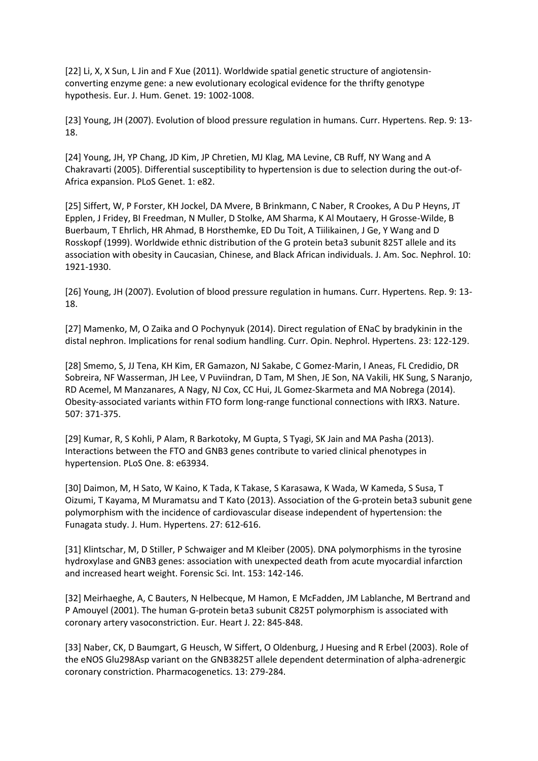[22] Li, X, X Sun, L Jin and F Xue (2011). Worldwide spatial genetic structure of angiotensinconverting enzyme gene: a new evolutionary ecological evidence for the thrifty genotype hypothesis. Eur. J. Hum. Genet. 19: 1002-1008.

[23] Young, JH (2007). Evolution of blood pressure regulation in humans. Curr. Hypertens. Rep. 9: 13- 18.

[24] Young, JH, YP Chang, JD Kim, JP Chretien, MJ Klag, MA Levine, CB Ruff, NY Wang and A Chakravarti (2005). Differential susceptibility to hypertension is due to selection during the out-of-Africa expansion. PLoS Genet. 1: e82.

[25] Siffert, W, P Forster, KH Jockel, DA Mvere, B Brinkmann, C Naber, R Crookes, A Du P Heyns, JT Epplen, J Fridey, BI Freedman, N Muller, D Stolke, AM Sharma, K Al Moutaery, H Grosse-Wilde, B Buerbaum, T Ehrlich, HR Ahmad, B Horsthemke, ED Du Toit, A Tiilikainen, J Ge, Y Wang and D Rosskopf (1999). Worldwide ethnic distribution of the G protein beta3 subunit 825T allele and its association with obesity in Caucasian, Chinese, and Black African individuals. J. Am. Soc. Nephrol. 10: 1921-1930.

[26] Young, JH (2007). Evolution of blood pressure regulation in humans. Curr. Hypertens. Rep. 9: 13- 18.

[27] Mamenko, M, O Zaika and O Pochynyuk (2014). Direct regulation of ENaC by bradykinin in the distal nephron. Implications for renal sodium handling. Curr. Opin. Nephrol. Hypertens. 23: 122-129.

[28] Smemo, S, JJ Tena, KH Kim, ER Gamazon, NJ Sakabe, C Gomez-Marin, I Aneas, FL Credidio, DR Sobreira, NF Wasserman, JH Lee, V Puviindran, D Tam, M Shen, JE Son, NA Vakili, HK Sung, S Naranjo, RD Acemel, M Manzanares, A Nagy, NJ Cox, CC Hui, JL Gomez-Skarmeta and MA Nobrega (2014). Obesity-associated variants within FTO form long-range functional connections with IRX3. Nature. 507: 371-375.

[29] Kumar, R, S Kohli, P Alam, R Barkotoky, M Gupta, S Tyagi, SK Jain and MA Pasha (2013). Interactions between the FTO and GNB3 genes contribute to varied clinical phenotypes in hypertension. PLoS One. 8: e63934.

[30] Daimon, M, H Sato, W Kaino, K Tada, K Takase, S Karasawa, K Wada, W Kameda, S Susa, T Oizumi, T Kayama, M Muramatsu and T Kato (2013). Association of the G-protein beta3 subunit gene polymorphism with the incidence of cardiovascular disease independent of hypertension: the Funagata study. J. Hum. Hypertens. 27: 612-616.

[31] Klintschar, M, D Stiller, P Schwaiger and M Kleiber (2005). DNA polymorphisms in the tyrosine hydroxylase and GNB3 genes: association with unexpected death from acute myocardial infarction and increased heart weight. Forensic Sci. Int. 153: 142-146.

[32] Meirhaeghe, A, C Bauters, N Helbecque, M Hamon, E McFadden, JM Lablanche, M Bertrand and P Amouyel (2001). The human G-protein beta3 subunit C825T polymorphism is associated with coronary artery vasoconstriction. Eur. Heart J. 22: 845-848.

[33] Naber, CK, D Baumgart, G Heusch, W Siffert, O Oldenburg, J Huesing and R Erbel (2003). Role of the eNOS Glu298Asp variant on the GNB3825T allele dependent determination of alpha-adrenergic coronary constriction. Pharmacogenetics. 13: 279-284.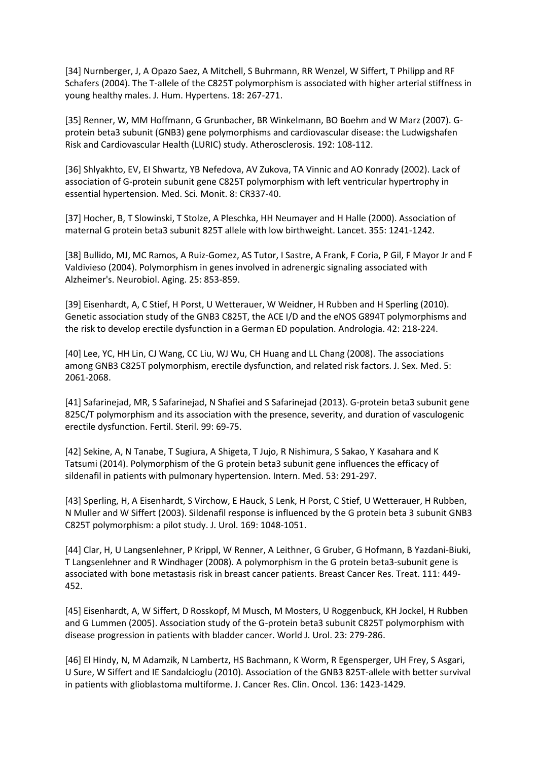[34] Nurnberger, J, A Opazo Saez, A Mitchell, S Buhrmann, RR Wenzel, W Siffert, T Philipp and RF Schafers (2004). The T-allele of the C825T polymorphism is associated with higher arterial stiffness in young healthy males. J. Hum. Hypertens. 18: 267-271.

[35] Renner, W, MM Hoffmann, G Grunbacher, BR Winkelmann, BO Boehm and W Marz (2007). Gprotein beta3 subunit (GNB3) gene polymorphisms and cardiovascular disease: the Ludwigshafen Risk and Cardiovascular Health (LURIC) study. Atherosclerosis. 192: 108-112.

[36] Shlyakhto, EV, EI Shwartz, YB Nefedova, AV Zukova, TA Vinnic and AO Konrady (2002). Lack of association of G-protein subunit gene C825T polymorphism with left ventricular hypertrophy in essential hypertension. Med. Sci. Monit. 8: CR337-40.

[37] Hocher, B, T Slowinski, T Stolze, A Pleschka, HH Neumayer and H Halle (2000). Association of maternal G protein beta3 subunit 825T allele with low birthweight. Lancet. 355: 1241-1242.

[38] Bullido, MJ, MC Ramos, A Ruiz-Gomez, AS Tutor, I Sastre, A Frank, F Coria, P Gil, F Mayor Jr and F Valdivieso (2004). Polymorphism in genes involved in adrenergic signaling associated with Alzheimer's. Neurobiol. Aging. 25: 853-859.

[39] Eisenhardt, A, C Stief, H Porst, U Wetterauer, W Weidner, H Rubben and H Sperling (2010). Genetic association study of the GNB3 C825T, the ACE I/D and the eNOS G894T polymorphisms and the risk to develop erectile dysfunction in a German ED population. Andrologia. 42: 218-224.

[40] Lee, YC, HH Lin, CJ Wang, CC Liu, WJ Wu, CH Huang and LL Chang (2008). The associations among GNB3 C825T polymorphism, erectile dysfunction, and related risk factors. J. Sex. Med. 5: 2061-2068.

[41] Safarinejad, MR, S Safarinejad, N Shafiei and S Safarinejad (2013). G-protein beta3 subunit gene 825C/T polymorphism and its association with the presence, severity, and duration of vasculogenic erectile dysfunction. Fertil. Steril. 99: 69-75.

[42] Sekine, A, N Tanabe, T Sugiura, A Shigeta, T Jujo, R Nishimura, S Sakao, Y Kasahara and K Tatsumi (2014). Polymorphism of the G protein beta3 subunit gene influences the efficacy of sildenafil in patients with pulmonary hypertension. Intern. Med. 53: 291-297.

[43] Sperling, H, A Eisenhardt, S Virchow, E Hauck, S Lenk, H Porst, C Stief, U Wetterauer, H Rubben, N Muller and W Siffert (2003). Sildenafil response is influenced by the G protein beta 3 subunit GNB3 C825T polymorphism: a pilot study. J. Urol. 169: 1048-1051.

[44] Clar, H, U Langsenlehner, P Krippl, W Renner, A Leithner, G Gruber, G Hofmann, B Yazdani-Biuki, T Langsenlehner and R Windhager (2008). A polymorphism in the G protein beta3-subunit gene is associated with bone metastasis risk in breast cancer patients. Breast Cancer Res. Treat. 111: 449- 452.

[45] Eisenhardt, A, W Siffert, D Rosskopf, M Musch, M Mosters, U Roggenbuck, KH Jockel, H Rubben and G Lummen (2005). Association study of the G-protein beta3 subunit C825T polymorphism with disease progression in patients with bladder cancer. World J. Urol. 23: 279-286.

[46] El Hindy, N, M Adamzik, N Lambertz, HS Bachmann, K Worm, R Egensperger, UH Frey, S Asgari, U Sure, W Siffert and IE Sandalcioglu (2010). Association of the GNB3 825T-allele with better survival in patients with glioblastoma multiforme. J. Cancer Res. Clin. Oncol. 136: 1423-1429.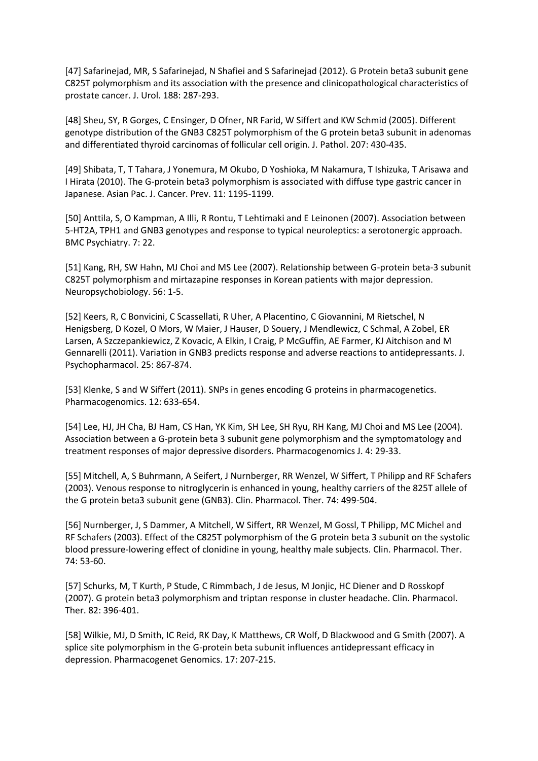[47] Safarinejad, MR, S Safarinejad, N Shafiei and S Safarinejad (2012). G Protein beta3 subunit gene C825T polymorphism and its association with the presence and clinicopathological characteristics of prostate cancer. J. Urol. 188: 287-293.

[48] Sheu, SY, R Gorges, C Ensinger, D Ofner, NR Farid, W Siffert and KW Schmid (2005). Different genotype distribution of the GNB3 C825T polymorphism of the G protein beta3 subunit in adenomas and differentiated thyroid carcinomas of follicular cell origin. J. Pathol. 207: 430-435.

[49] Shibata, T, T Tahara, J Yonemura, M Okubo, D Yoshioka, M Nakamura, T Ishizuka, T Arisawa and I Hirata (2010). The G-protein beta3 polymorphism is associated with diffuse type gastric cancer in Japanese. Asian Pac. J. Cancer. Prev. 11: 1195-1199.

[50] Anttila, S, O Kampman, A Illi, R Rontu, T Lehtimaki and E Leinonen (2007). Association between 5-HT2A, TPH1 and GNB3 genotypes and response to typical neuroleptics: a serotonergic approach. BMC Psychiatry. 7: 22.

[51] Kang, RH, SW Hahn, MJ Choi and MS Lee (2007). Relationship between G-protein beta-3 subunit C825T polymorphism and mirtazapine responses in Korean patients with major depression. Neuropsychobiology. 56: 1-5.

[52] Keers, R, C Bonvicini, C Scassellati, R Uher, A Placentino, C Giovannini, M Rietschel, N Henigsberg, D Kozel, O Mors, W Maier, J Hauser, D Souery, J Mendlewicz, C Schmal, A Zobel, ER Larsen, A Szczepankiewicz, Z Kovacic, A Elkin, I Craig, P McGuffin, AE Farmer, KJ Aitchison and M Gennarelli (2011). Variation in GNB3 predicts response and adverse reactions to antidepressants. J. Psychopharmacol. 25: 867-874.

[53] Klenke, S and W Siffert (2011). SNPs in genes encoding G proteins in pharmacogenetics. Pharmacogenomics. 12: 633-654.

[54] Lee, HJ, JH Cha, BJ Ham, CS Han, YK Kim, SH Lee, SH Ryu, RH Kang, MJ Choi and MS Lee (2004). Association between a G-protein beta 3 subunit gene polymorphism and the symptomatology and treatment responses of major depressive disorders. Pharmacogenomics J. 4: 29-33.

[55] Mitchell, A, S Buhrmann, A Seifert, J Nurnberger, RR Wenzel, W Siffert, T Philipp and RF Schafers (2003). Venous response to nitroglycerin is enhanced in young, healthy carriers of the 825T allele of the G protein beta3 subunit gene (GNB3). Clin. Pharmacol. Ther. 74: 499-504.

[56] Nurnberger, J, S Dammer, A Mitchell, W Siffert, RR Wenzel, M Gossl, T Philipp, MC Michel and RF Schafers (2003). Effect of the C825T polymorphism of the G protein beta 3 subunit on the systolic blood pressure-lowering effect of clonidine in young, healthy male subjects. Clin. Pharmacol. Ther. 74: 53-60.

[57] Schurks, M, T Kurth, P Stude, C Rimmbach, J de Jesus, M Jonjic, HC Diener and D Rosskopf (2007). G protein beta3 polymorphism and triptan response in cluster headache. Clin. Pharmacol. Ther. 82: 396-401.

[58] Wilkie, MJ, D Smith, IC Reid, RK Day, K Matthews, CR Wolf, D Blackwood and G Smith (2007). A splice site polymorphism in the G-protein beta subunit influences antidepressant efficacy in depression. Pharmacogenet Genomics. 17: 207-215.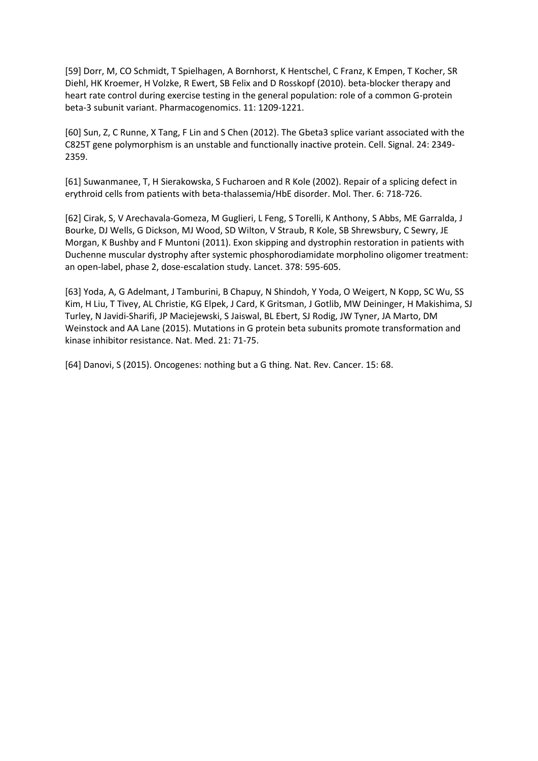[59] Dorr, M, CO Schmidt, T Spielhagen, A Bornhorst, K Hentschel, C Franz, K Empen, T Kocher, SR Diehl, HK Kroemer, H Volzke, R Ewert, SB Felix and D Rosskopf (2010). beta-blocker therapy and heart rate control during exercise testing in the general population: role of a common G-protein beta-3 subunit variant. Pharmacogenomics. 11: 1209-1221.

[60] Sun, Z, C Runne, X Tang, F Lin and S Chen (2012). The Gbeta3 splice variant associated with the C825T gene polymorphism is an unstable and functionally inactive protein. Cell. Signal. 24: 2349- 2359.

[61] Suwanmanee, T, H Sierakowska, S Fucharoen and R Kole (2002). Repair of a splicing defect in erythroid cells from patients with beta-thalassemia/HbE disorder. Mol. Ther. 6: 718-726.

[62] Cirak, S, V Arechavala-Gomeza, M Guglieri, L Feng, S Torelli, K Anthony, S Abbs, ME Garralda, J Bourke, DJ Wells, G Dickson, MJ Wood, SD Wilton, V Straub, R Kole, SB Shrewsbury, C Sewry, JE Morgan, K Bushby and F Muntoni (2011). Exon skipping and dystrophin restoration in patients with Duchenne muscular dystrophy after systemic phosphorodiamidate morpholino oligomer treatment: an open-label, phase 2, dose-escalation study. Lancet. 378: 595-605.

[63] Yoda, A, G Adelmant, J Tamburini, B Chapuy, N Shindoh, Y Yoda, O Weigert, N Kopp, SC Wu, SS Kim, H Liu, T Tivey, AL Christie, KG Elpek, J Card, K Gritsman, J Gotlib, MW Deininger, H Makishima, SJ Turley, N Javidi-Sharifi, JP Maciejewski, S Jaiswal, BL Ebert, SJ Rodig, JW Tyner, JA Marto, DM Weinstock and AA Lane (2015). Mutations in G protein beta subunits promote transformation and kinase inhibitor resistance. Nat. Med. 21: 71-75.

[64] Danovi, S (2015). Oncogenes: nothing but a G thing. Nat. Rev. Cancer. 15: 68.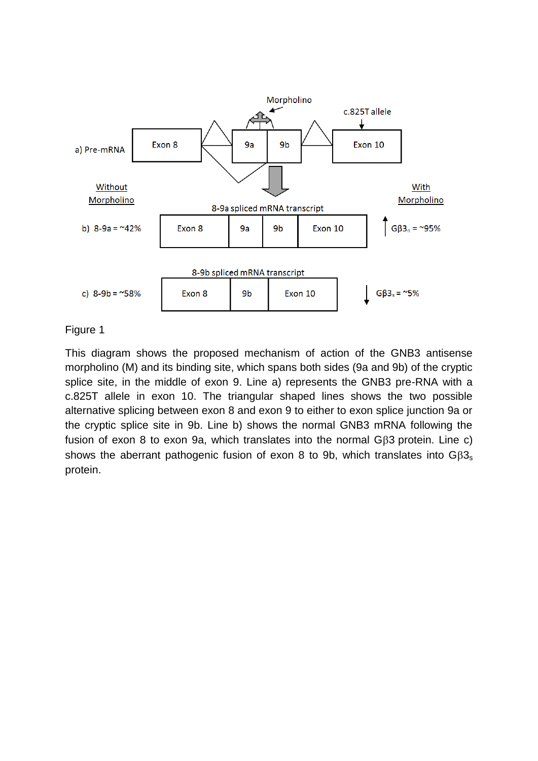

This diagram shows the proposed mechanism of action of the GNB3 antisense morpholino (M) and its binding site, which spans both sides (9a and 9b) of the cryptic splice site, in the middle of exon 9. Line a) represents the GNB3 pre-RNA with a c.825T allele in exon 10. The triangular shaped lines shows the two possible alternative splicing between exon 8 and exon 9 to either to exon splice junction 9a or the cryptic splice site in 9b. Line b) shows the normal GNB3 mRNA following the fusion of exon 8 to exon 9a, which translates into the normal G $\beta$ 3 protein. Line c) shows the aberrant pathogenic fusion of exon 8 to 9b, which translates into  $GB3_s$ protein.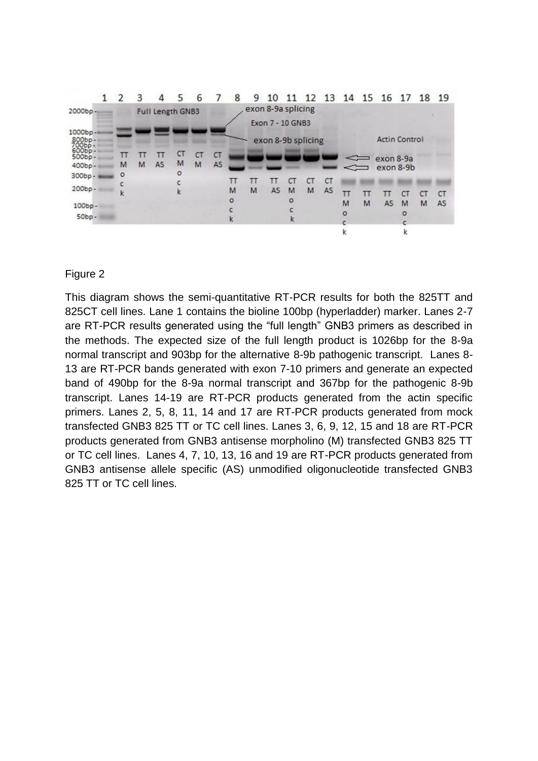|                                                | 1 | $\overline{2}$ | З | Δ                       | 5  |    |                    | 8                  | 9 | 10               |    |                      |           |                       |    | 11 12 13 14 15 16 17 18 19 |   |           |           |
|------------------------------------------------|---|----------------|---|-------------------------|----|----|--------------------|--------------------|---|------------------|----|----------------------|-----------|-----------------------|----|----------------------------|---|-----------|-----------|
| 2000bp-                                        |   |                |   | <b>Full Length GNB3</b> |    |    |                    | exon 8-9a splicing |   |                  |    |                      |           |                       |    |                            |   |           |           |
|                                                |   |                |   |                         |    |    |                    |                    |   | Exon 7 - 10 GNB3 |    |                      |           |                       |    |                            |   |           |           |
| 1000bp-<br>$800bp -$<br>$700bp -$<br>$600bp -$ |   |                |   |                         |    |    | exon 8-9b splicing |                    |   |                  |    | <b>Actin Control</b> |           |                       |    |                            |   |           |           |
| $500bp -$                                      |   | п              |   | п                       | CТ | CT | <b>CT</b>          |                    |   |                  |    |                      |           |                       | -- | exon 8-9a                  |   |           |           |
| 400bp-                                         |   | M              | M | <b>AS</b>               | M  | M  | <b>AS</b>          |                    |   |                  |    |                      |           | $\Longleftrightarrow$ |    | exon 8-9b                  |   |           |           |
| $300bp -$                                      |   | $\circ$        |   |                         | O  |    |                    | п                  | п |                  | СT | СT                   | <b>CT</b> |                       |    |                            |   |           |           |
| 200bp-                                         |   | k              |   |                         | k  |    |                    | M                  | M | AS               | M  | M                    | AS        |                       | п  |                            |   | <b>CT</b> | <b>CT</b> |
| $100bp -$                                      |   |                |   |                         |    |    |                    | $\circ$            |   |                  |    |                      |           | M                     | M  | AS                         | M | M         | AS        |
| $50bp -$                                       |   |                |   |                         |    |    |                    |                    |   |                  | k  |                      |           | ٥                     |    |                            | ٥ |           |           |
|                                                |   |                |   |                         |    |    |                    |                    |   |                  |    |                      |           |                       |    |                            |   |           |           |

This diagram shows the semi-quantitative RT-PCR results for both the 825TT and 825CT cell lines. Lane 1 contains the bioline 100bp (hyperladder) marker. Lanes 2-7 are RT-PCR results generated using the "full length" GNB3 primers as described in the methods. The expected size of the full length product is 1026bp for the 8-9a normal transcript and 903bp for the alternative 8-9b pathogenic transcript. Lanes 8- 13 are RT-PCR bands generated with exon 7-10 primers and generate an expected band of 490bp for the 8-9a normal transcript and 367bp for the pathogenic 8-9b transcript. Lanes 14-19 are RT-PCR products generated from the actin specific primers. Lanes 2, 5, 8, 11, 14 and 17 are RT-PCR products generated from mock transfected GNB3 825 TT or TC cell lines. Lanes 3, 6, 9, 12, 15 and 18 are RT-PCR products generated from GNB3 antisense morpholino (M) transfected GNB3 825 TT or TC cell lines. Lanes 4, 7, 10, 13, 16 and 19 are RT-PCR products generated from GNB3 antisense allele specific (AS) unmodified oligonucleotide transfected GNB3 825 TT or TC cell lines.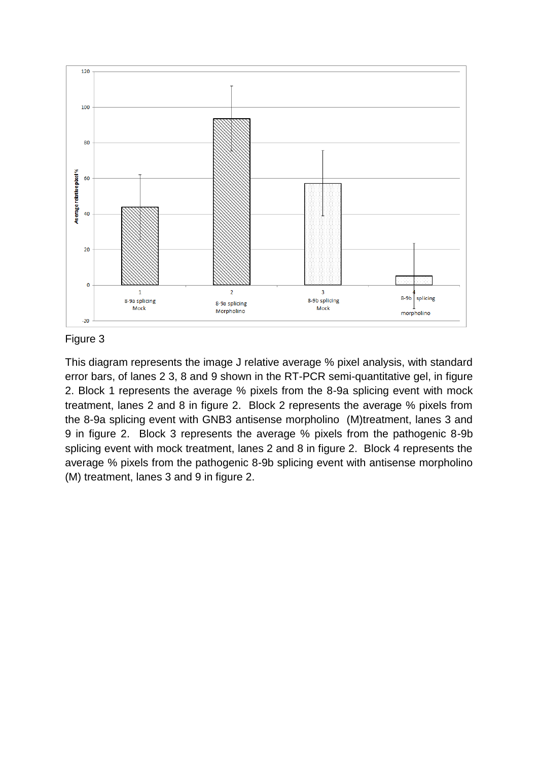

This diagram represents the image J relative average % pixel analysis, with standard error bars, of lanes 2 3, 8 and 9 shown in the RT-PCR semi-quantitative gel, in figure 2. Block 1 represents the average % pixels from the 8-9a splicing event with mock treatment, lanes 2 and 8 in figure 2. Block 2 represents the average % pixels from the 8-9a splicing event with GNB3 antisense morpholino (M)treatment, lanes 3 and 9 in figure 2. Block 3 represents the average % pixels from the pathogenic 8-9b splicing event with mock treatment, lanes 2 and 8 in figure 2. Block 4 represents the average % pixels from the pathogenic 8-9b splicing event with antisense morpholino (M) treatment, lanes 3 and 9 in figure 2.